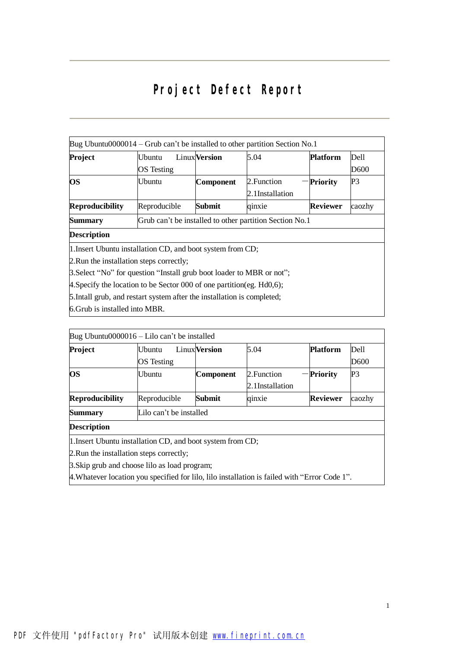# Project Defect Report

| Bug Ubuntu0000014 – Grub can't be installed to other partition Section No.1 |                                                                         |                      |                 |                 |        |  |  |
|-----------------------------------------------------------------------------|-------------------------------------------------------------------------|----------------------|-----------------|-----------------|--------|--|--|
| Project                                                                     | Ubuntu                                                                  | <b>Linux</b> Version | 5.04            | <b>Platform</b> | Dell   |  |  |
|                                                                             | <b>OS</b> Testing                                                       |                      |                 |                 | D600   |  |  |
| <b>OS</b>                                                                   | Ubuntu                                                                  | <b>Component</b>     | 2. Function     | <b>Priority</b> | P3     |  |  |
|                                                                             |                                                                         |                      | 2.1Installation |                 |        |  |  |
| <b>Reproducibility</b>                                                      | Reproducible                                                            | Submit               | qinxie          | <b>Reviewer</b> | caozhy |  |  |
| <b>Summary</b>                                                              | Grub can't be installed to other partition Section No.1                 |                      |                 |                 |        |  |  |
| <b>Description</b>                                                          |                                                                         |                      |                 |                 |        |  |  |
| 1. Insert Ubuntu installation CD, and boot system from CD;                  |                                                                         |                      |                 |                 |        |  |  |
| 2. Run the installation steps correctly;                                    |                                                                         |                      |                 |                 |        |  |  |
| 3. Select "No" for question "Install grub boot loader to MBR or not";       |                                                                         |                      |                 |                 |        |  |  |
| 4. Specify the location to be Sector 000 of one partition (eg. $Hd0,6$ );   |                                                                         |                      |                 |                 |        |  |  |
|                                                                             | 5. Intall grub, and restart system after the installation is completed; |                      |                 |                 |        |  |  |
|                                                                             |                                                                         |                      |                 |                 |        |  |  |

6.Grub is installed into MBR.

|                                          | Bug Ubuntu0000016 – Lilo can't be installed                |                      |                 |                 |        |
|------------------------------------------|------------------------------------------------------------|----------------------|-----------------|-----------------|--------|
| Project                                  | <b>U</b> buntu                                             | <b>Linux</b> Version | 5.04            | <b>Platform</b> | Dell   |
|                                          | <b>OS</b> Testing                                          |                      |                 |                 | D600   |
| <b>OS</b>                                | Ubuntu                                                     | <b>Component</b>     | 2. Function     | -Priority       | P3     |
|                                          |                                                            |                      | 2.1Installation |                 |        |
| <b>Reproducibility</b>                   | Reproducible                                               | Submit               | qinxie          | <b>Reviewer</b> | caozhy |
| <b>Summary</b>                           | Lilo can't be installed                                    |                      |                 |                 |        |
| <b>Description</b>                       |                                                            |                      |                 |                 |        |
|                                          | 1. Insert Ubuntu installation CD, and boot system from CD; |                      |                 |                 |        |
| 2. Run the installation steps correctly; |                                                            |                      |                 |                 |        |

3.Skip grub and choose lilo as load program;

4.Whatever location you specified for lilo, lilo installation is failed with "Error Code 1".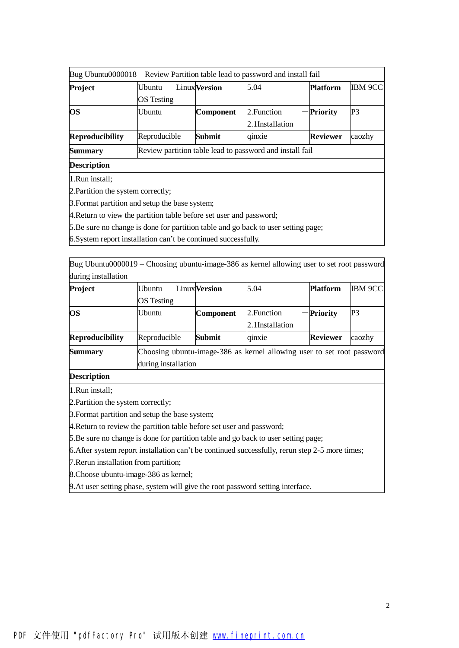| Bug Ubuntu0000018 – Review Partition table lead to password and install fail |                                                          |                      |                                |                 |         |  |
|------------------------------------------------------------------------------|----------------------------------------------------------|----------------------|--------------------------------|-----------------|---------|--|
| Project                                                                      | Ubuntu<br>OS Testing                                     | <b>Linux</b> Version | 5.04                           | <b>Platform</b> | IBM 9CC |  |
| <b>OS</b>                                                                    | Ubuntu                                                   | <b>Component</b>     | 2. Function<br>2.1Installation | <b>Priority</b> | P3      |  |
| <b>Reproducibility</b>                                                       | Reproducible                                             | Submit               | qinxie                         | <b>Reviewer</b> | caozhy  |  |
| <b>Summary</b>                                                               | Review partition table lead to password and install fail |                      |                                |                 |         |  |
| <b>Description</b>                                                           |                                                          |                      |                                |                 |         |  |

1.Run install;

2.Partition the system correctly;

3.Format partition and setup the base system;

4. Return to view the partition table before set user and password;

5.Be sure no change is done for partition table and go back to user setting page;

6.System report installation can't be continued successfully.

Bug Ubuntu0000019 – Choosing ubuntu-image-386 as kernel allowing user to set root password during installation

| Project                | Ubuntu              | <b>Linux</b> Version                                                   | 5.04            | <b>Platform</b> | <b>IBM 9CC</b> |  |  |  |
|------------------------|---------------------|------------------------------------------------------------------------|-----------------|-----------------|----------------|--|--|--|
|                        | OS Testing          |                                                                        |                 |                 |                |  |  |  |
| <b>OS</b>              | Ubuntu              | <b>Component</b>                                                       | 2. Function     | -Priority       | P3             |  |  |  |
|                        |                     |                                                                        | 2.1Installation |                 |                |  |  |  |
| <b>Reproducibility</b> | Reproducible        | <b>Submit</b>                                                          | qinxie          | <b>Reviewer</b> | caozhy         |  |  |  |
| <b>Summary</b>         |                     | Choosing ubuntu-image-386 as kernel allowing user to set root password |                 |                 |                |  |  |  |
|                        | during installation |                                                                        |                 |                 |                |  |  |  |

**Description**

1.Run install;

2.Partition the system correctly;

3.Format partition and setup the base system;

4.Return to review the partition table before set user and password;

5.Be sure no change is done for partition table and go back to user setting page;

6.After system report installation can't be continued successfully, rerun step 2-5 more times;

7.Rerun installation from partition;

8.Choose ubuntu-image-386 as kernel;

9.At user setting phase, system will give the root password setting interface.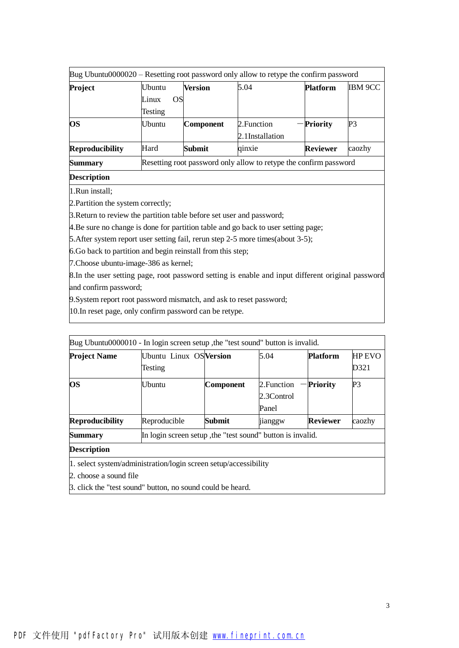| Bug Ubuntu0000020 – Resetting root password only allow to retype the confirm password |             |                                                                   |                 |                 |                |  |  |
|---------------------------------------------------------------------------------------|-------------|-------------------------------------------------------------------|-----------------|-----------------|----------------|--|--|
| <b>Project</b>                                                                        | Ubuntu      | Version                                                           | 5.04            | <b>Platform</b> | <b>IBM 9CC</b> |  |  |
|                                                                                       | OS<br>Linux |                                                                   |                 |                 |                |  |  |
|                                                                                       | Testing     |                                                                   |                 |                 |                |  |  |
| <b>OS</b>                                                                             | Ubuntu      | Component                                                         | 2. Function     | Priority        | P3             |  |  |
|                                                                                       |             |                                                                   | 2.1Installation |                 |                |  |  |
| <b>Reproducibility</b>                                                                | Hard        | Submit                                                            | qinxie          | <b>Reviewer</b> | caozhy         |  |  |
| <b>Summary</b>                                                                        |             | Resetting root password only allow to retype the confirm password |                 |                 |                |  |  |
| <b>Description</b>                                                                    |             |                                                                   |                 |                 |                |  |  |

1.Run install;

2.Partition the system correctly;

3.Return to review the partition table before set user and password;

4.Be sure no change is done for partition table and go back to user setting page;

5.After system report user setting fail, rerun step 2-5 more times(about 3-5);

6.Go back to partition and begin reinstall from this step;

7.Choose ubuntu-image-386 as kernel;

8.In the user setting page, root password setting is enable and input different original password and confirm password;

9.System report root password mismatch, and ask to reset password;

10.In reset page, only confirm password can be retype.

|                        | Bug Ubuntu0000010 - In login screen setup, the "test sound" button is invalid. |           |                                    |                 |                       |
|------------------------|--------------------------------------------------------------------------------|-----------|------------------------------------|-----------------|-----------------------|
| <b>Project Name</b>    | Ubuntu Linux OS Version<br>Testing                                             |           | 5.04                               | <b>Platform</b> | <b>HP EVO</b><br>D321 |
| <b>OS</b>              | Ubuntu                                                                         | Component | 2. Function<br>2.3Control<br>Panel | <b>Priority</b> | P3                    |
| <b>Reproducibility</b> | Reproducible                                                                   | Submit    | jianggw                            | <b>Reviewer</b> | caozhy                |
| <b>Summary</b>         | In login screen setup, the "test sound" button is invalid.                     |           |                                    |                 |                       |
| <b>Description</b>     |                                                                                |           |                                    |                 |                       |
| 2. choose a sound file | 1. select system/administration/login screen setup/accessibility               |           |                                    |                 |                       |

3. click the "test sound" button, no sound could be heard.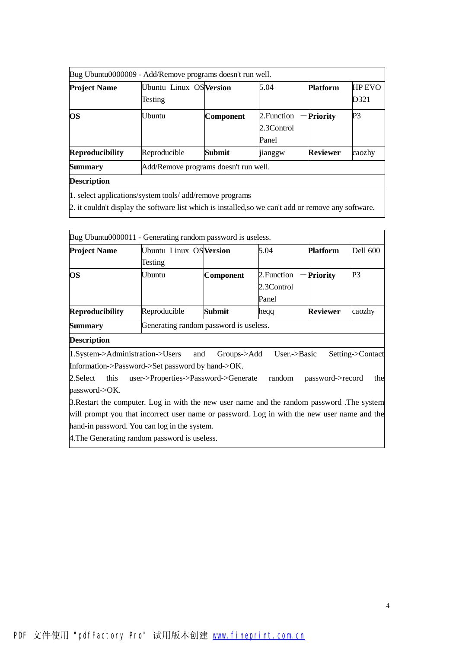| <b>HP EVO</b><br><b>Platform</b><br>D321<br>P <sub>3</sub><br>2. Function<br>- Priority |  |  |  |  |  |  |
|-----------------------------------------------------------------------------------------|--|--|--|--|--|--|
|                                                                                         |  |  |  |  |  |  |
| 2.3Control                                                                              |  |  |  |  |  |  |
| <b>Reviewer</b><br>caozhy<br>jianggw                                                    |  |  |  |  |  |  |
| Add/Remove programs doesn't run well.                                                   |  |  |  |  |  |  |
|                                                                                         |  |  |  |  |  |  |
|                                                                                         |  |  |  |  |  |  |

1. select applications/system tools/ add/remove programs

2. it couldn't display the software list which is installed, so we can't add or remove any software.

|                                 | Bug Ubuntu0000011 - Generating random password is useless. |                                        |                           |                  |                  |  |  |
|---------------------------------|------------------------------------------------------------|----------------------------------------|---------------------------|------------------|------------------|--|--|
| <b>Project Name</b>             | Ubuntu Linux OSVersion                                     |                                        | 5.04                      | <b>Platform</b>  | <b>Dell 600</b>  |  |  |
|                                 | Testing                                                    |                                        |                           |                  |                  |  |  |
| <b>OS</b>                       | Ubuntu                                                     | Component                              | 2. Function               | <b>Priority</b>  | P3               |  |  |
|                                 |                                                            |                                        | 2.3Control                |                  |                  |  |  |
|                                 |                                                            |                                        | Panel                     |                  |                  |  |  |
| <b>Reproducibility</b>          | Reproducible                                               | Submit                                 | heqq                      | <b>Reviewer</b>  | caozhy           |  |  |
| <b>Summary</b>                  |                                                            | Generating random password is useless. |                           |                  |                  |  |  |
| <b>Description</b>              |                                                            |                                        |                           |                  |                  |  |  |
| 1.System->Administration->Users | and                                                        | Groups->Add                            | User. $\rightarrow$ Basic |                  | Setting->Contact |  |  |
|                                 | Information->Password->Set password by hand->OK.           |                                        |                           |                  |                  |  |  |
| 2.Select<br>this                | user->Properties->Password->Generate                       |                                        | random                    | password->record | the              |  |  |
| password > OK.                  |                                                            |                                        |                           |                  |                  |  |  |

3.Restart the computer. Log in with the new user name and the random password .The system will prompt you that incorrect user name or password. Log in with the new user name and the hand-in password. You can log in the system.

4.The Generating random password is useless.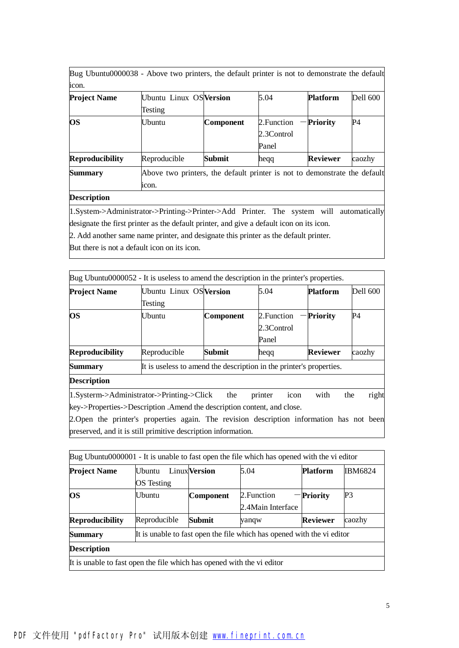Bug Ubuntu0000038 - Above two printers, the default printer is not to demonstrate the default icon.

| <b>Project Name</b>    | Ubuntu Linux OS Version                                                   |                  | 5.04        | <b>Platform</b> | <b>Dell 600</b> |  |  |
|------------------------|---------------------------------------------------------------------------|------------------|-------------|-----------------|-----------------|--|--|
|                        | Testing                                                                   |                  |             |                 |                 |  |  |
| <b>OS</b>              | Ubuntu                                                                    | <b>Component</b> | 2. Function | Priority        | P4              |  |  |
|                        |                                                                           |                  | 2.3Control  |                 |                 |  |  |
|                        |                                                                           |                  | Panel       |                 |                 |  |  |
| <b>Reproducibility</b> | Reproducible                                                              | Submit           | hegg        | <b>Reviewer</b> | caozhy          |  |  |
| <b>Summary</b>         | Above two printers, the default printer is not to demonstrate the default |                  |             |                 |                 |  |  |
|                        | icon.                                                                     |                  |             |                 |                 |  |  |

## **Description**

1.System->Administrator->Printing->Printer->Add Printer. The system will automatically designate the first printer as the default printer, and give a default icon on its icon.

2. Add another same name printer, and designate this printer as the default printer.

But there is not a default icon on its icon.

|                        | Bug Ubuntu0000052 - It is useless to amend the description in the printer's properties. |           |                 |                 |                 |
|------------------------|-----------------------------------------------------------------------------------------|-----------|-----------------|-----------------|-----------------|
| <b>Project Name</b>    | Ubuntu Linux OS Version                                                                 |           | 5.04            | <b>Platform</b> | <b>Dell 600</b> |
|                        | Testing                                                                                 |           |                 |                 |                 |
| <b>OS</b>              | Ubuntu                                                                                  | Component | 2. Function     | <b>Priority</b> | P4              |
|                        |                                                                                         |           | 2.3Control      |                 |                 |
|                        |                                                                                         |           | Panel           |                 |                 |
| <b>Reproducibility</b> | Reproducible                                                                            | Submit    | hegg            | <b>Reviewer</b> | caozhy          |
| <b>Summary</b>         | It is useless to amend the description in the printer's properties.                     |           |                 |                 |                 |
| <b>Description</b>     |                                                                                         |           |                 |                 |                 |
|                        | $ 1.S$ ysterm->Administrator->Printing->Click                                           | the       | printer<br>icon | with            | right<br>the    |
|                        | key->Properties->Description .Amend the description content, and close.                 |           |                 |                 |                 |

2.Open the printer's properties again. The revision description information has not been preserved, and it is still primitive description information.

| Bug Ubuntu0000001 - It is unable to fast open the file which has opened with the vi editor |              |                      |                                                                        |                 |                |  |  |
|--------------------------------------------------------------------------------------------|--------------|----------------------|------------------------------------------------------------------------|-----------------|----------------|--|--|
| <b>Project Name</b>                                                                        | Ubuntu       | <b>Linux</b> Version | 5.04                                                                   | <b>Platform</b> | <b>IBM6824</b> |  |  |
|                                                                                            | OS Testing   |                      |                                                                        |                 |                |  |  |
| <b>OS</b>                                                                                  | Ubuntu       | Component            | 2. Function                                                            | - Priority      | P3             |  |  |
|                                                                                            |              |                      | 2.4 Main Interface                                                     |                 |                |  |  |
| <b>Reproducibility</b>                                                                     | Reproducible | Submit               | yanqw                                                                  | <b>Reviewer</b> | caozhy         |  |  |
| <b>Summary</b>                                                                             |              |                      | It is unable to fast open the file which has opened with the vi editor |                 |                |  |  |
| <b>Description</b>                                                                         |              |                      |                                                                        |                 |                |  |  |
| It is unable to fast open the file which has opened with the vi editor                     |              |                      |                                                                        |                 |                |  |  |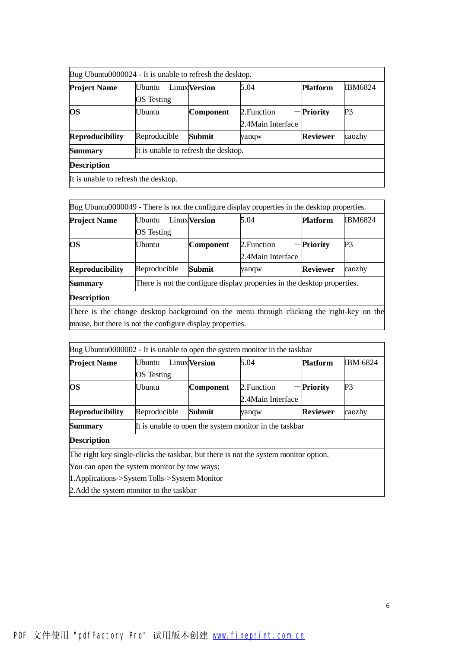| Bug Ubuntu0000024 - It is unable to refresh the desktop. |                                      |                      |                    |                 |                |  |  |
|----------------------------------------------------------|--------------------------------------|----------------------|--------------------|-----------------|----------------|--|--|
| <b>Project Name</b>                                      | Ubuntu                               | <b>Linux</b> Version | 5.04               | <b>Platform</b> | <b>IBM6824</b> |  |  |
|                                                          | OS Testing                           |                      |                    |                 |                |  |  |
| <b>OS</b>                                                | Ubuntu                               | Component            | 2. Function        | $-$ Priority    | P <sub>3</sub> |  |  |
|                                                          |                                      |                      | 2.4 Main Interface |                 |                |  |  |
| <b>Reproducibility</b>                                   | Reproducible                         | Submit               | yanqw              | <b>Reviewer</b> | caozhy         |  |  |
| <b>Summary</b>                                           | It is unable to refresh the desktop. |                      |                    |                 |                |  |  |
| <b>Description</b>                                       |                                      |                      |                    |                 |                |  |  |
| It is unable to refresh the desktop.                     |                                      |                      |                    |                 |                |  |  |

| Bug Ubuntu0000049 - There is not the configure display properties in the desktop properties. |                |                                                                   |                                                                          |                 |        |  |  |
|----------------------------------------------------------------------------------------------|----------------|-------------------------------------------------------------------|--------------------------------------------------------------------------|-----------------|--------|--|--|
| <b>Project Name</b>                                                                          | <b>U</b> buntu | 5.04<br><b>Linux Version</b><br><b>IBM6824</b><br><b>Platform</b> |                                                                          |                 |        |  |  |
|                                                                                              | OS Testing     |                                                                   |                                                                          |                 |        |  |  |
| <b>OS</b>                                                                                    | Ubuntu         | <b>Component</b>                                                  | 2. Function                                                              | Priority        | P3     |  |  |
|                                                                                              |                |                                                                   | 2.4 Main Interface                                                       |                 |        |  |  |
| <b>Reproducibility</b>                                                                       | Reproducible   | Submit                                                            | yanqw                                                                    | <b>Reviewer</b> | caozhy |  |  |
| <b>Summary</b>                                                                               |                |                                                                   | There is not the configure display properties in the desktop properties. |                 |        |  |  |
| <b>Description</b>                                                                           |                |                                                                   |                                                                          |                 |        |  |  |
| There is the change desktop background on the menu through clicking the right-key on the     |                |                                                                   |                                                                          |                 |        |  |  |
| mouse, but there is not the configure display properties.                                    |                |                                                                   |                                                                          |                 |        |  |  |

|                                               |                        |                                                        | Bug Ubuntu0000002 - It is unable to open the system monitor in the taskbar           |                 |                 |  |  |  |  |
|-----------------------------------------------|------------------------|--------------------------------------------------------|--------------------------------------------------------------------------------------|-----------------|-----------------|--|--|--|--|
| <b>Project Name</b>                           | l Jbuntu<br>OS Testing | <b>Linux</b> Version                                   | 5.04                                                                                 | <b>Platform</b> | <b>IBM 6824</b> |  |  |  |  |
| OS                                            | Ubuntu                 | <b>Component</b>                                       | 2. Function<br>2.4 Main Interface                                                    | <b>Priority</b> | P3              |  |  |  |  |
| <b>Reproducibility</b>                        | Reproducible           | <b>Submit</b>                                          | yanqw                                                                                | <b>Reviewer</b> | caozhy          |  |  |  |  |
| Summary                                       |                        | It is unable to open the system monitor in the taskbar |                                                                                      |                 |                 |  |  |  |  |
| <b>Description</b>                            |                        |                                                        |                                                                                      |                 |                 |  |  |  |  |
|                                               |                        |                                                        | The right key single-clicks the taskbar, but there is not the system monitor option. |                 |                 |  |  |  |  |
| You can open the system monitor by tow ways:  |                        |                                                        |                                                                                      |                 |                 |  |  |  |  |
| 1. Applications->System Tolls->System Monitor |                        |                                                        |                                                                                      |                 |                 |  |  |  |  |
| 2. Add the system monitor to the taskbar      |                        |                                                        |                                                                                      |                 |                 |  |  |  |  |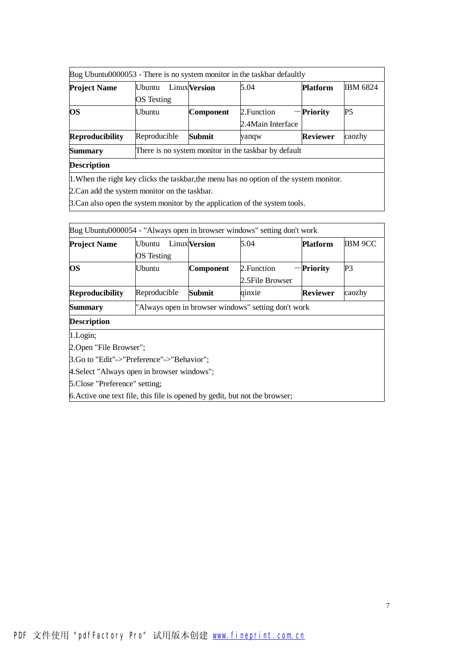|                        |               |                      | Bug Ubuntu0000053 - There is no system monitor in the taskbar defaultly                 |                 |                 |
|------------------------|---------------|----------------------|-----------------------------------------------------------------------------------------|-----------------|-----------------|
| <b>Project Name</b>    | <b>Ubuntu</b> | <b>Linux</b> Version | 5.04                                                                                    | <b>Platform</b> | <b>IBM 6824</b> |
|                        | OS Testing    |                      |                                                                                         |                 |                 |
| <b>OS</b>              | Ubuntu        | Component            | 2. Function                                                                             | - Priority      | P <sub>5</sub>  |
|                        |               |                      | 2.4 Main Interface                                                                      |                 |                 |
| <b>Reproducibility</b> | Reproducible  | Submit               | yanqw                                                                                   | <b>Reviewer</b> | caozhy          |
| <b>Summary</b>         |               |                      | There is no system monitor in the taskbar by default                                    |                 |                 |
| <b>Description</b>     |               |                      |                                                                                         |                 |                 |
|                        |               |                      | 1. When the right key clicks the taskbar, the menu has no option of the system monitor. |                 |                 |

2.Can add the system monitor on the taskbar.

3.Can also open the system monitor by the application of the system tools.

| Bug Ubuntu0000054 - "Always open in browser windows" setting don't work     |              |                                                     |                 |                 |                |  |  |  |
|-----------------------------------------------------------------------------|--------------|-----------------------------------------------------|-----------------|-----------------|----------------|--|--|--|
| <b>Project Name</b>                                                         | Ubuntu       | <b>Linux Version</b>                                | 5.04            | <b>Platform</b> | <b>IBM 9CC</b> |  |  |  |
|                                                                             | OS Testing   |                                                     |                 |                 |                |  |  |  |
| <b>OS</b>                                                                   | Ubuntu       | Component                                           | 2. Function     | <b>Priority</b> | P <sub>3</sub> |  |  |  |
|                                                                             |              |                                                     | 2.5File Browser |                 |                |  |  |  |
| <b>Reproducibility</b>                                                      | Reproducible | Submit                                              | qinxie          | Reviewer        | caozhy         |  |  |  |
| Summary                                                                     |              | "Always open in browser windows" setting don't work |                 |                 |                |  |  |  |
| <b>Description</b>                                                          |              |                                                     |                 |                 |                |  |  |  |
| 1.Login;                                                                    |              |                                                     |                 |                 |                |  |  |  |
| 2. Open "File Browser";                                                     |              |                                                     |                 |                 |                |  |  |  |
| [3.Go to "Edit"->"Preference"->"Behavior";                                  |              |                                                     |                 |                 |                |  |  |  |
| 4. Select "Always open in browser windows";                                 |              |                                                     |                 |                 |                |  |  |  |
| 5.Close "Preference" setting;                                               |              |                                                     |                 |                 |                |  |  |  |
| 6. Active one text file, this file is opened by gedit, but not the browser; |              |                                                     |                 |                 |                |  |  |  |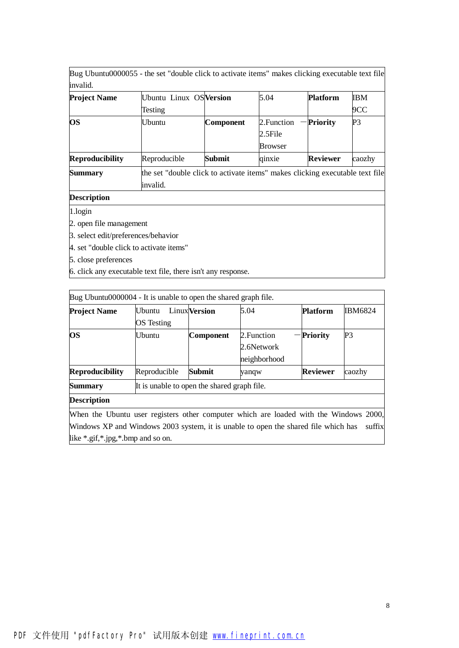Bug Ubuntu0000055 - the set "double click to activate items" makes clicking executable text file invalid.

| <b>Project Name</b>    | Ubuntu Linux OS Version                                                      |           | 5.04           | <b>Platform</b> | IBM    |
|------------------------|------------------------------------------------------------------------------|-----------|----------------|-----------------|--------|
|                        | Testing                                                                      |           |                |                 | 9CC    |
| <b>OS</b>              | Ubuntu                                                                       | Component | 2. Function    | <b>Priority</b> | P3     |
|                        |                                                                              |           | 2.5File        |                 |        |
|                        |                                                                              |           | <b>Browser</b> |                 |        |
| <b>Reproducibility</b> | Reproducible                                                                 | Submit    | qinxie         | <b>Reviewer</b> | caozhy |
| <b>Summary</b>         | the set "double click to activate items" makes clicking executable text file |           |                |                 |        |
|                        | invalid.                                                                     |           |                |                 |        |

**Description** 

1.login

2. open file management

3. select edit/preferences/behavior

4. set "double click to activate items"

5. close preferences

6. click any executable text file, there isn't any response.

| Bug Ubuntu0000004 - It is unable to open the shared graph file.                       |                                             |                      |              |                 |                |
|---------------------------------------------------------------------------------------|---------------------------------------------|----------------------|--------------|-----------------|----------------|
| <b>Project Name</b>                                                                   | Ubuntu                                      | <b>Linux</b> Version | 5.04         | <b>Platform</b> | <b>IBM6824</b> |
|                                                                                       | OS Testing                                  |                      |              |                 |                |
| <b>OS</b>                                                                             | Ubuntu                                      | Component            | 2. Function  | - Priority      | P3             |
|                                                                                       |                                             |                      | 2.6Network   |                 |                |
|                                                                                       |                                             |                      | neighborhood |                 |                |
| <b>Reproducibility</b>                                                                | Reproducible                                | Submit               | yanqw        | <b>Reviewer</b> | caozhy         |
| <b>Summary</b>                                                                        | It is unable to open the shared graph file. |                      |              |                 |                |
| <b>Description</b>                                                                    |                                             |                      |              |                 |                |
| When the Ubuntu user registers other computer which are loaded with the Windows 2000, |                                             |                      |              |                 |                |

Windows XP and Windows 2003 system, it is unable to open the shared file which has suffix like \*.gif,\*.jpg,\*.bmp and so on.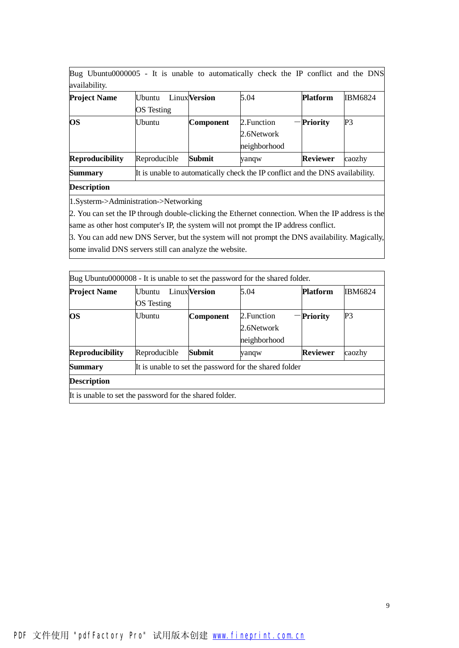Bug Ubuntu0000005 - It is unable to automatically check the IP conflict and the DNS availability.

| <del>.</del>           |                   |                      |                                                                               |                 |                |
|------------------------|-------------------|----------------------|-------------------------------------------------------------------------------|-----------------|----------------|
| <b>Project Name</b>    | Ubuntu            | <b>Linux</b> Version | 5.04                                                                          | <b>Platform</b> | <b>IBM6824</b> |
|                        | <b>OS</b> Testing |                      |                                                                               |                 |                |
| <b>OS</b>              | Ubuntu            | Component            | 2. Function                                                                   | -Priority       | P3             |
|                        |                   |                      | 2.6Network                                                                    |                 |                |
|                        |                   |                      | neighborhood                                                                  |                 |                |
| <b>Reproducibility</b> | Reproducible      | Submit               | yanqw                                                                         | <b>Reviewer</b> | caozhy         |
| <b>Summary</b>         |                   |                      | It is unable to automatically check the IP conflict and the DNS availability. |                 |                |

# **Description**

1.Systerm->Administration->Networking

2. You can set the IP through double-clicking the Ethernet connection. When the IP address is the same as other host computer's IP, the system will not prompt the IP address conflict.

3. You can add new DNS Server, but the system will not prompt the DNS availability. Magically, some invalid DNS servers still can analyze the website.

| Bug Ubuntu0000008 - It is unable to set the password for the shared folder. |                             |                      |                                                        |                 |                |
|-----------------------------------------------------------------------------|-----------------------------|----------------------|--------------------------------------------------------|-----------------|----------------|
| <b>Project Name</b>                                                         | <b>Ubuntu</b><br>OS Testing | <b>Linux</b> Version | 5.04                                                   | <b>Platform</b> | <b>IBM6824</b> |
| <b>OS</b>                                                                   | Ubuntu                      | <b>Component</b>     | 2. Function<br>2.6Network<br>neighborhood              | -Priority       | P3             |
| <b>Reproducibility</b>                                                      | Reproducible                | Submit               | yanqw                                                  | <b>Reviewer</b> | caozhy         |
| <b>Summary</b>                                                              |                             |                      | It is unable to set the password for the shared folder |                 |                |
| <b>Description</b>                                                          |                             |                      |                                                        |                 |                |
| It is unable to set the password for the shared folder.                     |                             |                      |                                                        |                 |                |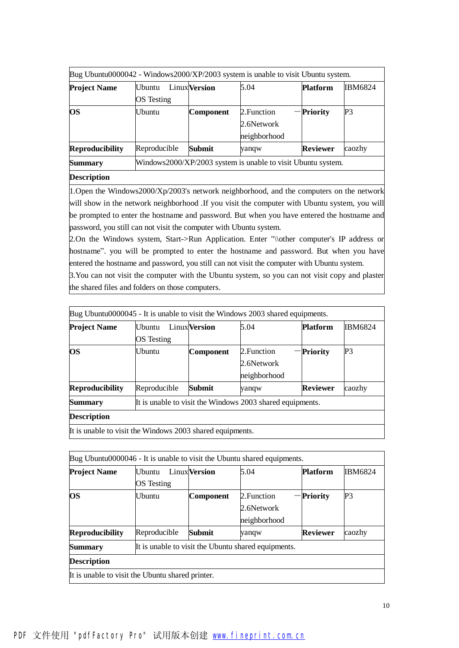| Bug Ubuntu0000042 - Windows2000/XP/2003 system is unable to visit Ubuntu system. |                 |                      |                                                              |                 |                |
|----------------------------------------------------------------------------------|-----------------|----------------------|--------------------------------------------------------------|-----------------|----------------|
| <b>Project Name</b>                                                              | <b>I</b> Jbuntu | <b>Linux</b> Version | 5.04                                                         | <b>Platform</b> | <b>IBM6824</b> |
|                                                                                  | OS Testing      |                      |                                                              |                 |                |
| <b>OS</b>                                                                        | <b>Ubuntu</b>   | Component            | 2. Function                                                  | - Priority      | P <sub>3</sub> |
|                                                                                  |                 |                      | 2.6Network                                                   |                 |                |
|                                                                                  |                 |                      | neighborhood                                                 |                 |                |
| <b>Reproducibility</b>                                                           | Reproducible    | Submit               | yanqw                                                        | <b>Reviewer</b> | caozhy         |
| <b>Summary</b>                                                                   |                 |                      | Windows2000/XP/2003 system is unable to visit Ubuntu system. |                 |                |
| <b>Description</b>                                                               |                 |                      |                                                              |                 |                |

1. Open the Windows2000/Xp/2003's network neighborhood, and the computers on the network will show in the network neighborhood. If you visit the computer with Ubuntu system, you will be prompted to enter the hostname and password. But when you have entered the hostname and password, you still can not visit the computer with Ubuntu system.

2.On the Windows system, Start->Run Application. Enter "\\other computer's IP address or hostname". you will be prompted to enter the hostname and password. But when you have entered the hostname and password, you still can not visit the computer with Ubuntu system.

3.You can not visit the computer with the Ubuntu system, so you can not visit copy and plaster the shared files and folders on those computers.

| Bug Ubuntu0000045 - It is unable to visit the Windows 2003 shared equipments. |              |                      |                                                           |                 |         |
|-------------------------------------------------------------------------------|--------------|----------------------|-----------------------------------------------------------|-----------------|---------|
| <b>Project Name</b>                                                           | Ubuntu.      | <b>Linux</b> Version | 5.04                                                      | <b>Platform</b> | IBM6824 |
|                                                                               | OS Testing   |                      |                                                           |                 |         |
| <b>OS</b>                                                                     | Ubuntu       | Component            | 2. Function                                               | -Priority       | P3      |
|                                                                               |              |                      | 2.6Network                                                |                 |         |
|                                                                               |              |                      | neighborhood                                              |                 |         |
| <b>Reproducibility</b>                                                        | Reproducible | Submit               | yanqw                                                     | <b>Reviewer</b> | caozhy  |
| <b>Summary</b>                                                                |              |                      | It is unable to visit the Windows 2003 shared equipments. |                 |         |
| <b>Description</b>                                                            |              |                      |                                                           |                 |         |
| It is unable to visit the Windows 2003 shared equipments.                     |              |                      |                                                           |                 |         |

|                                                  |               |                      | Bug Ubuntu0000046 - It is unable to visit the Ubuntu shared equipments. |                 |                |
|--------------------------------------------------|---------------|----------------------|-------------------------------------------------------------------------|-----------------|----------------|
| <b>Project Name</b>                              | <b>Ubuntu</b> | <b>Linux</b> Version | 5.04                                                                    | <b>Platform</b> | <b>IBM6824</b> |
|                                                  | OS Testing    |                      |                                                                         |                 |                |
| <b>OS</b>                                        | I Ibuntu      | Component            | 2. Function                                                             | <b>Priority</b> | P3             |
|                                                  |               |                      | 2.6Network                                                              |                 |                |
|                                                  |               |                      | neighborhood                                                            |                 |                |
| <b>Reproducibility</b>                           | Reproducible  | Submit               | yanqw                                                                   | <b>Reviewer</b> | caozhy         |
| Summary                                          |               |                      | It is unable to visit the Ubuntu shared equipments.                     |                 |                |
| <b>Description</b>                               |               |                      |                                                                         |                 |                |
| It is unable to visit the Ubuntu shared printer. |               |                      |                                                                         |                 |                |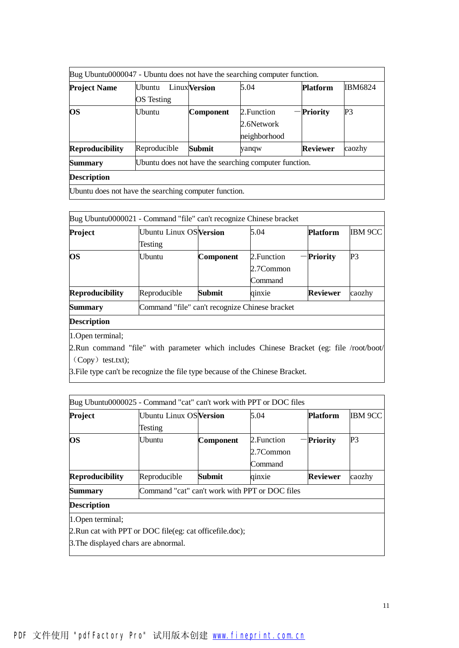| <b>Project Name</b>    | <b>I</b> Jbuntu | <b>Linux</b> Version | 5.04                                                  | <b>Platform</b> | <b>IBM6824</b> |  |  |  |  |
|------------------------|-----------------|----------------------|-------------------------------------------------------|-----------------|----------------|--|--|--|--|
|                        | OS Testing      |                      |                                                       |                 |                |  |  |  |  |
| <b>OS</b>              | Ubuntu          | <b>Component</b>     | 2. Function                                           | <b>Priority</b> | P3             |  |  |  |  |
|                        |                 |                      | 2.6Network                                            |                 |                |  |  |  |  |
|                        |                 |                      | neighborhood                                          |                 |                |  |  |  |  |
| <b>Reproducibility</b> | Reproducible    | Submit               | yanqw                                                 | <b>Reviewer</b> | caozhy         |  |  |  |  |
| <b>Summary</b>         |                 |                      | Ubuntu does not have the searching computer function. |                 |                |  |  |  |  |
| <b>Description</b>     |                 |                      |                                                       |                 |                |  |  |  |  |

| Bug Ubuntu0000021 - Command "file" can't recognize Chinese bracket |                                                |                  |             |                 |                |
|--------------------------------------------------------------------|------------------------------------------------|------------------|-------------|-----------------|----------------|
| Project                                                            | <b>Ubuntu Linux OS Version</b>                 |                  | 5.04        | <b>Platform</b> | <b>IBM 9CC</b> |
|                                                                    | Testing                                        |                  |             |                 |                |
| <b>OS</b>                                                          | Ubuntu                                         | <b>Component</b> | 2. Function | Priority        | P3             |
|                                                                    |                                                |                  | 2.7Common   |                 |                |
|                                                                    |                                                |                  | Command     |                 |                |
| <b>Reproducibility</b>                                             | Reproducible                                   | Submit           | qinxie      | <b>Reviewer</b> | caozhy         |
| <b>Summary</b>                                                     | Command "file" can't recognize Chinese bracket |                  |             |                 |                |
| <b>Description</b>                                                 |                                                |                  |             |                 |                |
|                                                                    |                                                |                  |             |                 |                |

1.Open terminal;

2.Run command "file" with parameter which includes Chinese Bracket (eg: file /root/boot/ (Copy) test.txt);

3.File type can't be recognize the file type because of the Chinese Bracket.

| Bug Ubuntu0000025 - Command "cat" can't work with PPT or DOC files |                                                          |           |             |                 |                |
|--------------------------------------------------------------------|----------------------------------------------------------|-----------|-------------|-----------------|----------------|
| Project                                                            | Ubuntu Linux OS Version                                  |           | 5.04        | <b>Platform</b> | <b>IBM 9CC</b> |
|                                                                    | Testing                                                  |           |             |                 |                |
| <b>OS</b>                                                          | Ubuntu                                                   | Component | 2. Function | <b>Priority</b> | P3             |
|                                                                    |                                                          |           | 2.7Common   |                 |                |
|                                                                    |                                                          |           | Command     |                 |                |
| <b>Reproducibility</b>                                             | Reproducible                                             | Submit    | qinxie      | <b>Reviewer</b> | caozhy         |
| <b>Summary</b>                                                     | Command "cat" can't work with PPT or DOC files           |           |             |                 |                |
| <b>Description</b>                                                 |                                                          |           |             |                 |                |
| 1. Open terminal;                                                  |                                                          |           |             |                 |                |
|                                                                    | 2. Run cat with PPT or DOC file(eg: cat officefile.doc); |           |             |                 |                |
| 3. The displayed chars are abnormal.                               |                                                          |           |             |                 |                |
|                                                                    |                                                          |           |             |                 |                |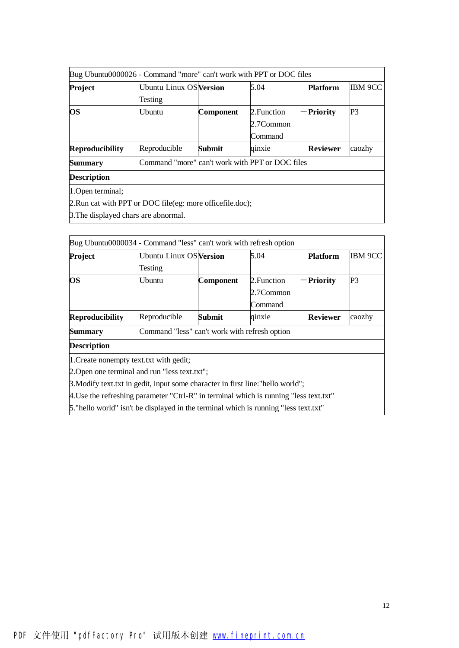|                        | Bug Ubuntu0000026 - Command "more" can't work with PPT or DOC files |                  |             |                 |         |
|------------------------|---------------------------------------------------------------------|------------------|-------------|-----------------|---------|
| Project                | <b>Ubuntu Linux OS Version</b>                                      |                  | 5.04        | <b>Platform</b> | IBM 9CC |
|                        | Testing                                                             |                  |             |                 |         |
| <b>OS</b>              | Ubuntu                                                              | <b>Component</b> | 2. Function | <b>Priority</b> | P3      |
|                        |                                                                     |                  | 2.7Common   |                 |         |
|                        |                                                                     |                  | Command     |                 |         |
| <b>Reproducibility</b> | Reproducible                                                        | Submit           | qinxie      | <b>Reviewer</b> | caozhy  |
| <b>Summary</b>         | Command "more" can't work with PPT or DOC files                     |                  |             |                 |         |
| <b>Description</b>     |                                                                     |                  |             |                 |         |
| 1. Open terminal;      |                                                                     |                  |             |                 |         |
|                        | 2. Run cat with PPT or DOC file(eg: more officefile.doc);           |                  |             |                 |         |
|                        |                                                                     |                  |             |                 |         |

3.The displayed chars are abnormal.

| Bug Ubuntu0000034 - Command "less" can't work with refresh option                     |                                               |                  |             |                 |                |
|---------------------------------------------------------------------------------------|-----------------------------------------------|------------------|-------------|-----------------|----------------|
| Project                                                                               | <b>Ubuntu Linux OS Version</b>                |                  | 5.04        | <b>Platform</b> | <b>IBM 9CC</b> |
|                                                                                       | Testing                                       |                  |             |                 |                |
| <b>OS</b>                                                                             | Ubuntu                                        | <b>Component</b> | 2. Function | <b>Priority</b> | P <sub>3</sub> |
|                                                                                       |                                               |                  | 2.7Common   |                 |                |
|                                                                                       |                                               |                  | Command     |                 |                |
| <b>Reproducibility</b>                                                                | Reproducible                                  | Submit           | qinxie      | Reviewer        | caozhy         |
| Summary                                                                               | Command "less" can't work with refresh option |                  |             |                 |                |
| <b>Description</b>                                                                    |                                               |                  |             |                 |                |
| 1. Create nonempty text.txt with gedit;                                               |                                               |                  |             |                 |                |
| 2. Open one terminal and run "less text.txt";                                         |                                               |                  |             |                 |                |
| 3. Modify text txt in gedit, input some character in first line: "hello world";       |                                               |                  |             |                 |                |
| 4. Use the refreshing parameter "Ctrl-R" in terminal which is running "less text.txt" |                                               |                  |             |                 |                |
| 5. "hello world" isn't be displayed in the terminal which is running "less text.txt"  |                                               |                  |             |                 |                |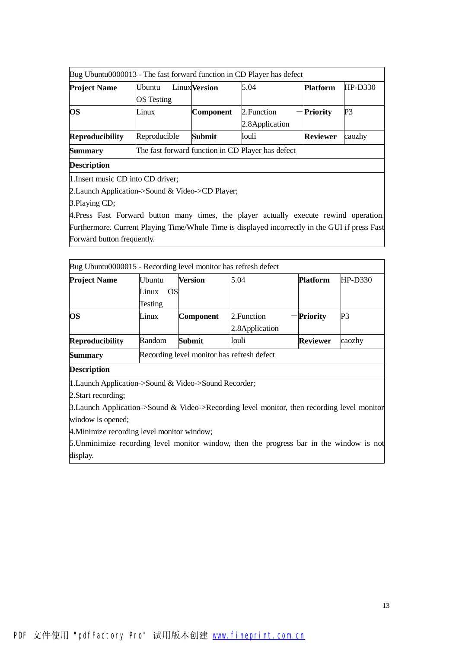|                        |                   |                                                   | Bug Ubuntu0000013 - The fast forward function in CD Player has defect |                 |                |  |  |  |
|------------------------|-------------------|---------------------------------------------------|-----------------------------------------------------------------------|-----------------|----------------|--|--|--|
| <b>Project Name</b>    | <b>Ubuntu</b>     | <b>Linux</b> Version                              | 5.04                                                                  | <b>Platform</b> | $HP-D330$      |  |  |  |
|                        | <b>OS</b> Testing |                                                   |                                                                       |                 |                |  |  |  |
| <b>OS</b>              | Linux             | Component                                         | 2. Function                                                           | - Priority      | P <sub>3</sub> |  |  |  |
|                        |                   |                                                   | 2.8 Application                                                       |                 |                |  |  |  |
| <b>Reproducibility</b> | Reproducible      | <b>Submit</b>                                     | louli                                                                 | <b>Reviewer</b> | caozhy         |  |  |  |
| <b>Summary</b>         |                   | The fast forward function in CD Player has defect |                                                                       |                 |                |  |  |  |
| <b>Description</b>     |                   |                                                   |                                                                       |                 |                |  |  |  |

1.Insert music CD into CD driver;

2.Launch Application->Sound & Video->CD Player;

3.Playing CD;

4.Press Fast Forward button many times, the player actually execute rewind operation. Furthermore. Current Playing Time/Whole Time is displayed incorrectly in the GUI if press Fast Forward button frequently.

| Bug Ubuntu0000015 - Recording level monitor has refresh defect |                    |               |                                            |                 |           |
|----------------------------------------------------------------|--------------------|---------------|--------------------------------------------|-----------------|-----------|
| <b>Project Name</b>                                            | <b>Ubuntu</b>      | Version       | 5.04                                       | <b>Platform</b> | $HP-D330$ |
|                                                                | <b>OS</b><br>Linux |               |                                            |                 |           |
|                                                                | Testing            |               |                                            |                 |           |
| <b>OS</b>                                                      | Linux              | Component     | 2. Function                                | Priority        | P3        |
|                                                                |                    |               | 2.8 Application                            |                 |           |
| <b>Reproducibility</b>                                         | Random             | <b>Submit</b> | louli                                      | <b>Reviewer</b> | caozhy    |
| <b>Summary</b>                                                 |                    |               | Recording level monitor has refresh defect |                 |           |
| <b>Description</b>                                             |                    |               |                                            |                 |           |
| 1. Launch Application->Sound & Video->Sound Recorder;          |                    |               |                                            |                 |           |
| 2. Start recording;                                            |                    |               |                                            |                 |           |

3.Launch Application->Sound & Video->Recording level monitor, then recording level monitor window is opened;

4.Minimize recording level monitor window;

5.Unminimize recording level monitor window, then the progress bar in the window is not display.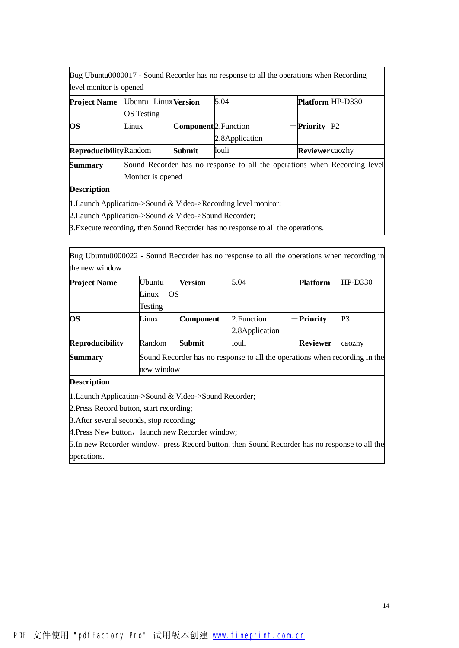Bug Ubuntu0000017 - Sound Recorder has no response to all the operations when Recording level monitor is opened

| <b>Project Name</b>           | Ubuntu Linux Version |                                                                           | 5.04            | <b>Platform HP-D330</b> |                |  |  |  |
|-------------------------------|----------------------|---------------------------------------------------------------------------|-----------------|-------------------------|----------------|--|--|--|
|                               | <b>OS</b> Testing    |                                                                           |                 |                         |                |  |  |  |
| <b>OS</b>                     | Linux                | Component <sup>2</sup> . Function                                         |                 | $-$ Priority            | P <sub>2</sub> |  |  |  |
|                               |                      |                                                                           | 2.8 Application |                         |                |  |  |  |
| <b>Reproducibility</b> Random |                      | <b>Submit</b>                                                             | louli           | Reviewercaozhy          |                |  |  |  |
| <b>Summary</b>                |                      | Sound Recorder has no response to all the operations when Recording level |                 |                         |                |  |  |  |
|                               | Monitor is opened    |                                                                           |                 |                         |                |  |  |  |

### **Description**

1.Launch Application->Sound & Video->Recording level monitor;

2.Launch Application->Sound & Video->Sound Recorder;

3.Execute recording, then Sound Recorder has no response to all the operations.

Bug Ubuntu0000022 - Sound Recorder has no response to all the operations when recording in the new window

| <b>Project Name</b>    | <b>Ubuntu</b> | Version          | 5.04                                                                       | <b>Platform</b> | $HP-D330$ |
|------------------------|---------------|------------------|----------------------------------------------------------------------------|-----------------|-----------|
|                        | OSI<br>Linux  |                  |                                                                            |                 |           |
|                        | Testing       |                  |                                                                            |                 |           |
| <b>OS</b>              | Linux         | <b>Component</b> | 2. Function                                                                | <b>Priority</b> | P3        |
|                        |               |                  | 2.8 Application                                                            |                 |           |
| <b>Reproducibility</b> | Random        | <b>Submit</b>    | louli                                                                      | <b>Reviewer</b> | caozhy    |
| <b>Summary</b>         |               |                  | Sound Recorder has no response to all the operations when recording in the |                 |           |
|                        | new window    |                  |                                                                            |                 |           |

# **Description**

1.Launch Application->Sound & Video->Sound Recorder;

2.Press Record button, start recording;

3.After several seconds, stop recording;

4. Press New button, launch new Recorder window;

5. In new Recorder window, press Record button, then Sound Recorder has no response to all the operations.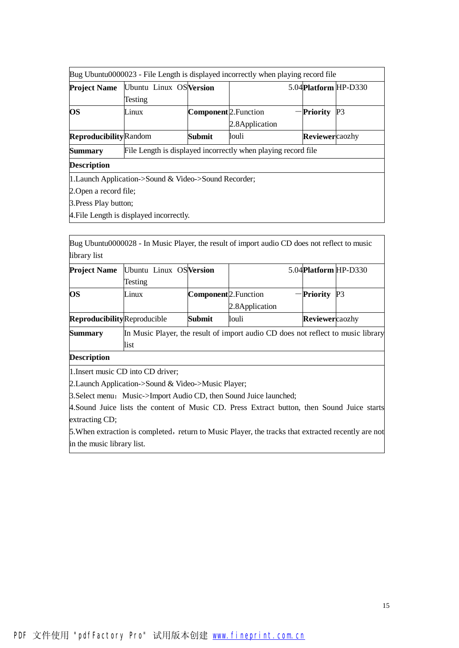| Bug Ubuntu0000023 - File Length is displayed incorrectly when playing record file |                                                       |                                  |                                                               |                      |                |  |  |
|-----------------------------------------------------------------------------------|-------------------------------------------------------|----------------------------------|---------------------------------------------------------------|----------------------|----------------|--|--|
| <b>Project Name</b>                                                               | Ubuntu Linux OS Version                               |                                  |                                                               | 5.04Platform HP-D330 |                |  |  |
|                                                                                   | Testing                                               |                                  |                                                               |                      |                |  |  |
| <b>OS</b>                                                                         | Linux                                                 | Component <sup>2</sup> .Function |                                                               | <b>Priority</b>      | P <sub>3</sub> |  |  |
|                                                                                   |                                                       |                                  | 2.8 Application                                               |                      |                |  |  |
| <b>Reproducibility</b> Random                                                     |                                                       | Submit                           | louli                                                         | Reviewercaozhy       |                |  |  |
| <b>Summary</b>                                                                    |                                                       |                                  | File Length is displayed incorrectly when playing record file |                      |                |  |  |
| <b>Description</b>                                                                |                                                       |                                  |                                                               |                      |                |  |  |
|                                                                                   | 1. Launch Application->Sound & Video->Sound Recorder; |                                  |                                                               |                      |                |  |  |
| 2. Open a record file;                                                            |                                                       |                                  |                                                               |                      |                |  |  |
| 3. Press Play button;                                                             |                                                       |                                  |                                                               |                      |                |  |  |
|                                                                                   | 4. File Length is displayed incorrectly.              |                                  |                                                               |                      |                |  |  |

Bug Ubuntu0000028 - In Music Player, the result of import audio CD does not reflect to music library list

|                             | <b>Project Name</b> Ubuntu Linux OS Version |                                   |                 | 5.04 Platform HP-D330 |  |
|-----------------------------|---------------------------------------------|-----------------------------------|-----------------|-----------------------|--|
|                             | Testing                                     |                                   |                 |                       |  |
| <b>OS</b>                   | Linux                                       | Component <sup>2</sup> . Function |                 | $-$ Priority P3       |  |
|                             |                                             |                                   | 2.8 Application |                       |  |
| ReproducibilityReproducible |                                             | Submit                            | louli           | Reviewercaozhy        |  |

**Summary** In Music Player, the result of import audio CD does not reflect to music library list

**Description**

1.Insert music CD into CD driver;

2.Launch Application->Sound & Video->Music Player;

3. Select menu: Music->Import Audio CD, then Sound Juice launched;

4.Sound Juice lists the content of Music CD. Press Extract button, then Sound Juice starts extracting CD;

5. When extraction is completed, return to Music Player, the tracks that extracted recently are not in the music library list.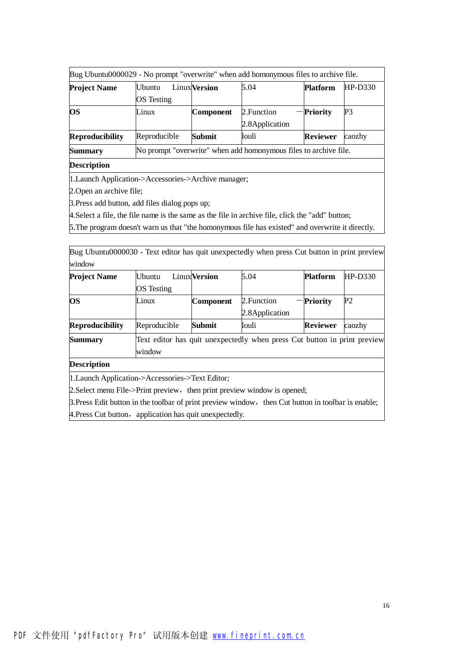|                        |                                    |                                                                  | Bug Ubuntu0000029 - No prompt "overwrite" when add homonymous files to archive file. |                 |           |  |  |  |
|------------------------|------------------------------------|------------------------------------------------------------------|--------------------------------------------------------------------------------------|-----------------|-----------|--|--|--|
| <b>Project Name</b>    | <b>Ubuntu</b><br><b>OS</b> Testing | LinuxVersion                                                     | 5.04                                                                                 | <b>Platform</b> | $HP-D330$ |  |  |  |
| <b>OS</b>              | Linux                              | Component                                                        | 2. Function<br>2.8 Application                                                       | -Priority       | P3        |  |  |  |
| <b>Reproducibility</b> | Reproducible                       | <b>Submit</b>                                                    | louli                                                                                | <b>Reviewer</b> | caozhy    |  |  |  |
| <b>Summary</b>         |                                    | No prompt "overwrite" when add homonymous files to archive file. |                                                                                      |                 |           |  |  |  |
| <b>Description</b>     |                                    |                                                                  |                                                                                      |                 |           |  |  |  |

1.Launch Application->Accessories->Archive manager;

2.Open an archive file;

3.Press add button, add files dialog pops up;

4.Select a file, the file name is the same as the file in archive file, click the "add" button;

5.The program doesn't warn us that "the homonymous file has existed" and overwrite it directly.

Bug Ubuntu0000030 - Text editor has quit unexpectedly when press Cut button in print preview window

| <b>Project Name</b>    | <b>Ubuntu</b>     | <b>Linux</b> Version | 5.04                                                                     | <b>Platform</b> | $HP-D330$      |
|------------------------|-------------------|----------------------|--------------------------------------------------------------------------|-----------------|----------------|
|                        | <b>OS</b> Testing |                      |                                                                          |                 |                |
| <b>OS</b>              | Linux             | <b>Component</b>     | 2. Function                                                              | -Priority       | P <sub>2</sub> |
|                        |                   |                      | 2.8 Application                                                          |                 |                |
| <b>Reproducibility</b> | Reproducible      | Submit               | louli                                                                    | <b>Reviewer</b> | caozhy         |
| <b>Summary</b>         |                   |                      | Text editor has quit unexpectedly when press Cut button in print preview |                 |                |
|                        | window            |                      |                                                                          |                 |                |

**Description**

1.Launch Application->Accessories->Text Editor;

2. Select menu File->Print preview, then print preview window is opened;

3. Press Edit button in the toolbar of print preview window, then Cut button in toolbar is enable;

4. Press Cut button, application has quit unexpectedly.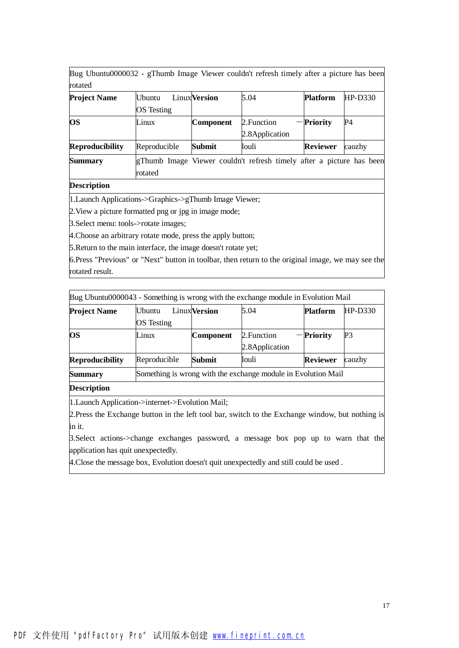Bug Ubuntu0000032 - gThumb Image Viewer couldn't refresh timely after a picture has been rotated

| <b>Project Name</b>    | <b>Ubuntu</b>     | <b>Linux</b> Version | 5.04            | <b>Platform</b> | $HP-D330$ |
|------------------------|-------------------|----------------------|-----------------|-----------------|-----------|
|                        | <b>OS</b> Testing |                      |                 |                 |           |
| <b>OS</b>              | Linux             | <b>Component</b>     | 2. Function     | -Priority       | P4        |
|                        |                   |                      | 2.8 Application |                 |           |
| <b>Reproducibility</b> | Reproducible      | Submit               | louli           | <b>Reviewer</b> | caozhy    |

**Summary** gThumb Image Viewer couldn't refresh timely after a picture has been rotated

#### **Description**

1.Launch Applications->Graphics->gThumb Image Viewer;

2.View a picture formatted png or jpg in image mode;

3.Select menu: tools->rotate images;

4.Choose an arbitrary rotate mode, press the apply button;

5.Return to the main interface, the image doesn't rotate yet;

6.Press "Previous" or "Next" button in toolbar, then return to the original image, we may see the rotated result.

| Bug Ubuntu0000043 - Something is wrong with the exchange module in Evolution Mail |                   |                                                               |                 |                 |                |  |  |  |
|-----------------------------------------------------------------------------------|-------------------|---------------------------------------------------------------|-----------------|-----------------|----------------|--|--|--|
| <b>Project Name</b>                                                               | <b>Ubuntu</b>     | <b>Linux</b> Version                                          | 5.04            | <b>Platform</b> | $HP-D330$      |  |  |  |
|                                                                                   | <b>OS</b> Testing |                                                               |                 |                 |                |  |  |  |
| <b>OS</b>                                                                         | Linux             | Component                                                     | 2. Function     | <b>Priority</b> | P <sub>3</sub> |  |  |  |
|                                                                                   |                   |                                                               | 2.8 Application |                 |                |  |  |  |
| <b>Reproducibility</b>                                                            | Reproducible      | Submit                                                        | louli           | <b>Reviewer</b> | caozhy         |  |  |  |
| <b>Summary</b>                                                                    |                   | Something is wrong with the exchange module in Evolution Mail |                 |                 |                |  |  |  |
| <b>Description</b>                                                                |                   |                                                               |                 |                 |                |  |  |  |

1.Launch Application->internet->Evolution Mail;

2. Press the Exchange button in the left tool bar, switch to the Exchange window, but nothing is in it.

3.Select actions->change exchanges password, a message box pop up to warn that the application has quit unexpectedly.

4.Close the message box, Evolution doesn't quit unexpectedly and still could be used .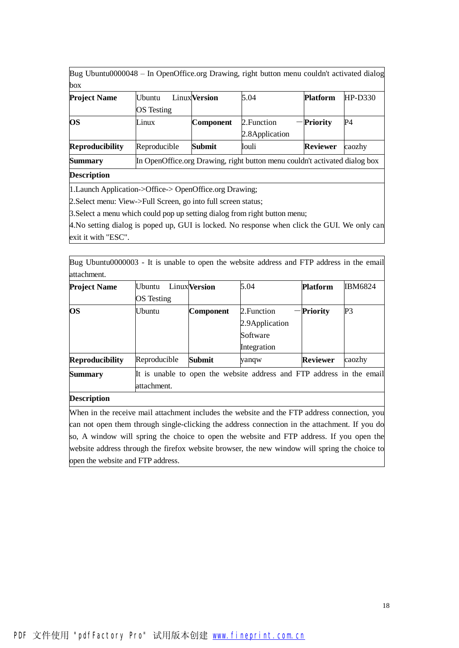Bug Ubuntu0000048 – In OpenOffice.org Drawing, right button menu couldn't activated dialog box

| <b>Project Name</b>    | <b>Ubuntu</b>     | <b>Linux</b> Version | 5.04                                                                       | <b>Platform</b> | $HP-D330$ |
|------------------------|-------------------|----------------------|----------------------------------------------------------------------------|-----------------|-----------|
|                        | <b>OS</b> Testing |                      |                                                                            |                 |           |
| <b>OS</b>              | Linux             | Component            | 2. Function                                                                | -Priority       | <b>P4</b> |
|                        |                   |                      | 2.8 Application                                                            |                 |           |
| <b>Reproducibility</b> | Reproducible      | Submit               | louli                                                                      | <b>Reviewer</b> | caozhy    |
| <b>Summary</b>         |                   |                      | In OpenOffice.org Drawing, right button menu couldn't activated dialog box |                 |           |
|                        |                   |                      |                                                                            |                 |           |

### **Description**

1.Launch Application->Office-> OpenOffice.org Drawing;

attachment.

2.Select menu: View->Full Screen, go into full screen status;

3.Select a menu which could pop up setting dialog from right button menu;

4.No setting dialog is poped up, GUI is locked. No response when click the GUI. We only can exit it with "ESC".

Bug Ubuntu0000003 - It is unable to open the website address and FTP address in the email attachment.

| <b>Project Name</b>    | Ubuntu            | LinuxVersion                                                          | 5.04            | <b>Platform</b> | <b>IBM6824</b> |  |  |  |
|------------------------|-------------------|-----------------------------------------------------------------------|-----------------|-----------------|----------------|--|--|--|
|                        | <b>OS</b> Testing |                                                                       |                 |                 |                |  |  |  |
| <b>OS</b>              | Ubuntu            | Component                                                             | 2. Function     | <b>Priority</b> | P3             |  |  |  |
|                        |                   |                                                                       | 2.9 Application |                 |                |  |  |  |
|                        |                   |                                                                       | Software        |                 |                |  |  |  |
|                        |                   |                                                                       | Integration     |                 |                |  |  |  |
| <b>Reproducibility</b> | Reproducible      | Submit                                                                | yanqw           | <b>Reviewer</b> | caozhy         |  |  |  |
| <b>Summary</b>         |                   | It is unable to open the website address and FTP address in the email |                 |                 |                |  |  |  |

# **Description**

When in the receive mail attachment includes the website and the FTP address connection, you can not open them through single-clicking the address connection in the attachment. If you do so, A window will spring the choice to open the website and FTP address. If you open the website address through the firefox website browser, the new window will spring the choice to open the website and FTP address.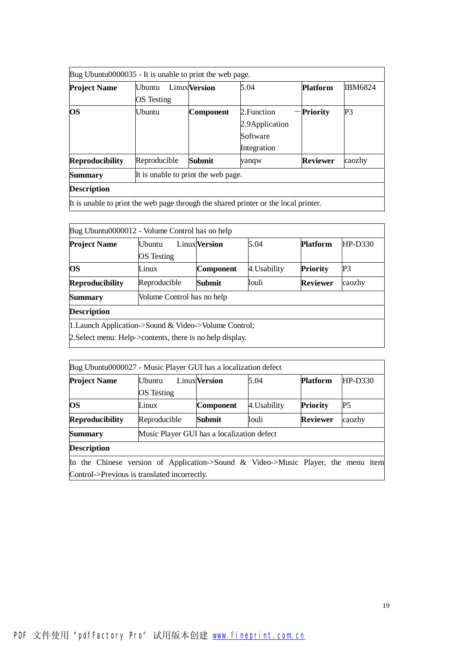| Bug Ubuntu0000035 - It is unable to print the web page. |                                     |                      |                                                                                     |                 |                |  |  |  |  |
|---------------------------------------------------------|-------------------------------------|----------------------|-------------------------------------------------------------------------------------|-----------------|----------------|--|--|--|--|
| Project Name                                            | <b>Ubuntu</b><br>OS Testing         | <b>Linux</b> Version | 5.04                                                                                | <b>Platform</b> | <b>IBM6824</b> |  |  |  |  |
| OS                                                      | Ubuntu                              | Component            | 2. Function<br>2.9 Application<br>Software<br>Integration                           | Priority        | P3             |  |  |  |  |
| <b>Reproducibility</b>                                  | Reproducible                        | Submit               | yanqw                                                                               | <b>Reviewer</b> | caozhy         |  |  |  |  |
| Summary                                                 | It is unable to print the web page. |                      |                                                                                     |                 |                |  |  |  |  |
| <b>Description</b>                                      |                                     |                      |                                                                                     |                 |                |  |  |  |  |
|                                                         |                                     |                      | It is unable to print the web page through the shared printer or the local printer. |                 |                |  |  |  |  |

| Bug Ubuntu0000012 - Volume Control has no help            |                            |                      |              |                 |           |
|-----------------------------------------------------------|----------------------------|----------------------|--------------|-----------------|-----------|
| <b>Project Name</b>                                       | <b>U</b> buntu             | <b>Linux</b> Version | 5.04         | <b>Platform</b> | $HP-D330$ |
|                                                           | OS Testing                 |                      |              |                 |           |
| <b>OS</b>                                                 | Linux                      | Component            | 4. Usability | <b>Priority</b> | P3        |
| <b>Reproducibility</b>                                    | Reproducible               | Submit               | louli        | Reviewer        | caozhy    |
| <b>Summary</b>                                            | Volume Control has no help |                      |              |                 |           |
| <b>Description</b>                                        |                            |                      |              |                 |           |
| $ 1$ . Launch Application->Sound & Video->Volume Control; |                            |                      |              |                 |           |
| 2. Select menu: Help->contents, there is no help display. |                            |                      |              |                 |           |

| Bug Ubuntu0000027 - Music Player GUI has a localization defect                   |                                            |                      |              |                 |                |  |  |  |
|----------------------------------------------------------------------------------|--------------------------------------------|----------------------|--------------|-----------------|----------------|--|--|--|
| <b>Project Name</b>                                                              | <b>U</b> buntu                             | <b>Linux</b> Version | 5.04         | <b>Platform</b> | HP-D330        |  |  |  |
|                                                                                  | <b>OS</b> Testing                          |                      |              |                 |                |  |  |  |
| <b>OS</b>                                                                        | Linux                                      | Component            | 4. Usability | <b>Priority</b> | P <sub>5</sub> |  |  |  |
| <b>Reproducibility</b>                                                           | Reproducible                               | Submit               | louli        | <b>Reviewer</b> | caozhy         |  |  |  |
| <b>Summary</b>                                                                   | Music Player GUI has a localization defect |                      |              |                 |                |  |  |  |
| <b>Description</b>                                                               |                                            |                      |              |                 |                |  |  |  |
| In the Chinese version of Application-Sound & Video-SMusic Player, the menu item |                                            |                      |              |                 |                |  |  |  |
| Control->Previous is translated incorrectly.                                     |                                            |                      |              |                 |                |  |  |  |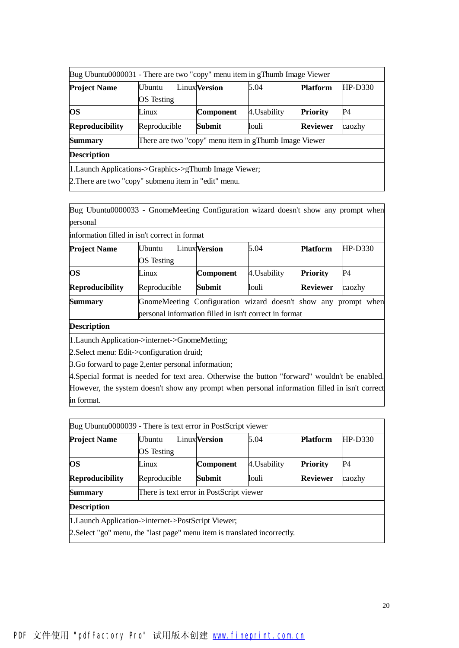| Bug Ubuntu0000031 - There are two "copy" menu item in gThumb Image Viewer |                                                       |                      |              |                 |           |  |  |  |  |
|---------------------------------------------------------------------------|-------------------------------------------------------|----------------------|--------------|-----------------|-----------|--|--|--|--|
| <b>Project Name</b>                                                       | <b>Ubuntu</b>                                         | <b>Linux</b> Version | 5.04         | <b>Platform</b> | $HP-D330$ |  |  |  |  |
|                                                                           | <b>OS</b> Testing                                     |                      |              |                 |           |  |  |  |  |
| <b>OS</b>                                                                 | Linux                                                 | <b>Component</b>     | 4. Usability | <b>Priority</b> | P4        |  |  |  |  |
| <b>Reproducibility</b>                                                    | Reproducible                                          | Submit               | louli        | <b>Reviewer</b> | caozhy    |  |  |  |  |
| <b>Summary</b>                                                            | There are two "copy" menu item in gThumb Image Viewer |                      |              |                 |           |  |  |  |  |
| <b>Description</b>                                                        |                                                       |                      |              |                 |           |  |  |  |  |
| [1. Launch Applications->Graphics->gThumb Image Viewer;                   |                                                       |                      |              |                 |           |  |  |  |  |
| 2. There are two "copy" submenu item in "edit" menu.                      |                                                       |                      |              |                 |           |  |  |  |  |

Bug Ubuntu0000033 - GnomeMeeting Configuration wizard doesn't show any prompt when personal

| information filled in isn't correct in format |                                                        |                                                                |              |                 |                |  |  |  |  |
|-----------------------------------------------|--------------------------------------------------------|----------------------------------------------------------------|--------------|-----------------|----------------|--|--|--|--|
| <b>Project Name</b>                           | Ubuntu                                                 | <b>Linux</b> Version                                           | 5.04         | <b>Platform</b> | <b>HP-D330</b> |  |  |  |  |
|                                               | <b>OS</b> Testing                                      |                                                                |              |                 |                |  |  |  |  |
| <b>OS</b>                                     | Linux                                                  | Component                                                      | 4. Usability | <b>Priority</b> | P4             |  |  |  |  |
| <b>Reproducibility</b>                        | Reproducible                                           | Submit                                                         | louli        | <b>Reviewer</b> | caozhy         |  |  |  |  |
| <b>Summary</b>                                |                                                        | GnomeMeeting Configuration wizard doesn't show any prompt when |              |                 |                |  |  |  |  |
|                                               | personal information filled in isn't correct in format |                                                                |              |                 |                |  |  |  |  |

**Description**

1.Launch Application->internet->GnomeMetting;

2.Select menu: Edit->configuration druid;

3.Go forward to page 2,enter personal information;

4.Special format is needed for text area. Otherwise the button "forward" wouldn't be enabled. However, the system doesn't show any prompt when personal information filled in isn't correct in format.

| <b>Project Name</b>    | Ubuntu                                   | <b>Linux</b> Version | 5.04         | <b>Platform</b> | $HP-D330$ |
|------------------------|------------------------------------------|----------------------|--------------|-----------------|-----------|
|                        | OS Testing                               |                      |              |                 |           |
| <b>OS</b>              | Linux                                    | <b>Component</b>     | 4. Usability | <b>Priority</b> | P4        |
| <b>Reproducibility</b> | Reproducible                             | Submit               | louli        | <b>Reviewer</b> | caozhy    |
| <b>Summary</b>         | There is text error in PostScript viewer |                      |              |                 |           |
| <b>Description</b>     |                                          |                      |              |                 |           |

2.Select "go" menu, the "last page" menu item is translated incorrectly.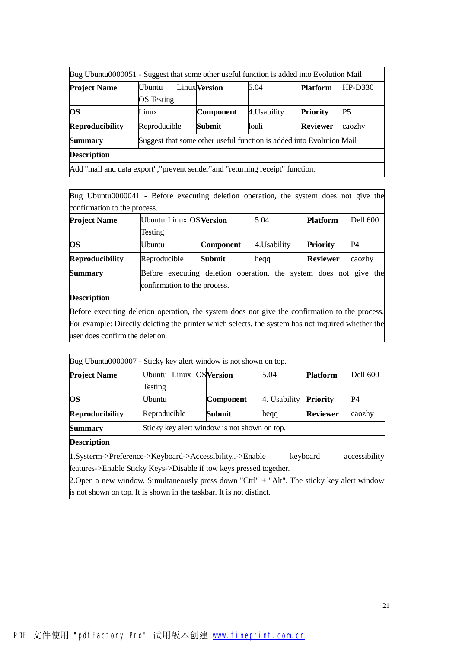| Bug Ubuntu0000051 - Suggest that some other useful function is added into Evolution Mail |                                                                      |                      |              |                 |           |  |  |  |
|------------------------------------------------------------------------------------------|----------------------------------------------------------------------|----------------------|--------------|-----------------|-----------|--|--|--|
| <b>Project Name</b>                                                                      | Ubuntu                                                               | <b>Linux</b> Version | 5.04         | <b>Platform</b> | $HP-D330$ |  |  |  |
|                                                                                          | <b>OS</b> Testing                                                    |                      |              |                 |           |  |  |  |
| <b>OS</b>                                                                                | Linux                                                                | <b>Component</b>     | 4. Usability | <b>Priority</b> | P5        |  |  |  |
| <b>Reproducibility</b>                                                                   | Reproducible                                                         | Submit               | louli        | <b>Reviewer</b> | caozhy    |  |  |  |
| <b>Summary</b>                                                                           | Suggest that some other useful function is added into Evolution Mail |                      |              |                 |           |  |  |  |
| <b>Description</b>                                                                       |                                                                      |                      |              |                 |           |  |  |  |
| Add "mail and data export", "prevent sender" and "returning receipt" function.           |                                                                      |                      |              |                 |           |  |  |  |

Bug Ubuntu0000041 - Before executing deletion operation, the system does not give the confirmation to the process.

| <b>Project Name</b>    | <b>Ubuntu Linux OS Version</b>                                                                    |                  | 5.04         | <b>Platform</b> | <b>Dell 600</b> |
|------------------------|---------------------------------------------------------------------------------------------------|------------------|--------------|-----------------|-----------------|
|                        | Testing                                                                                           |                  |              |                 |                 |
| <b>OS</b>              | Ubuntu                                                                                            | <b>Component</b> | 4. Usability | <b>Priority</b> | P4              |
| <b>Reproducibility</b> | Reproducible                                                                                      | <b>Submit</b>    | heqq         | <b>Reviewer</b> | caozhy          |
| <b>Summary</b>         | Before executing deletion operation, the system does not give the<br>confirmation to the process. |                  |              |                 |                 |
| <b>Description</b>     |                                                                                                   |                  |              |                 |                 |

Before executing deletion operation, the system does not give the confirmation to the process. For example: Directly deleting the printer which selects, the system has not inquired whether the user does confirm the deletion.

|                        | Bug Ubuntu0000007 - Sticky key alert window is not shown on top. |               |              |                 |          |  |
|------------------------|------------------------------------------------------------------|---------------|--------------|-----------------|----------|--|
| <b>Project Name</b>    | Ubuntu Linux OS Version                                          |               | 5.04         | <b>Platform</b> | Dell 600 |  |
|                        | Testing                                                          |               |              |                 |          |  |
| <b>OS</b>              | Ubuntu                                                           | Component     | 4. Usability | <b>Priority</b> | P4       |  |
| <b>Reproducibility</b> | Reproducible                                                     | <b>Submit</b> | hegg         | <b>Reviewer</b> | caozhy   |  |
| <b>Summary</b>         | Sticky key alert window is not shown on top.                     |               |              |                 |          |  |
| <b>Description</b>     |                                                                  |               |              |                 |          |  |

1.Systerm->Preference->Keyboard->Accessibility..->Enable keyboard accessibility features->Enable Sticky Keys->Disable if tow keys pressed together.

2.Open a new window. Simultaneously press down "Ctrl" + "Alt". The sticky key alert window is not shown on top. It is shown in the taskbar. It is not distinct.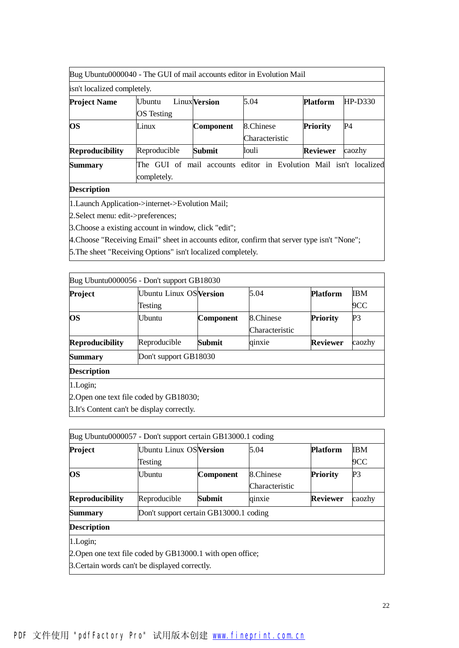| Bug Ubuntu0000040 - The GUI of mail accounts editor in Evolution Mail                                |                                                                                  |                      |                             |                 |         |  |
|------------------------------------------------------------------------------------------------------|----------------------------------------------------------------------------------|----------------------|-----------------------------|-----------------|---------|--|
| isn't localized completely.                                                                          |                                                                                  |                      |                             |                 |         |  |
| <b>Project Name</b>                                                                                  | Ubuntu<br><b>OS</b> Testing                                                      | <b>Linux</b> Version | 5.04                        | <b>Platform</b> | HP-D330 |  |
| <b>OS</b>                                                                                            | Linux                                                                            | Component            | 8.Chinese<br>Characteristic | <b>Priority</b> | P4      |  |
| <b>Reproducibility</b>                                                                               | Reproducible                                                                     | Submit               | louli                       | <b>Reviewer</b> | caozhy  |  |
| <b>Summary</b>                                                                                       | The GUI of mail accounts editor in Evolution Mail isn't localized<br>completely. |                      |                             |                 |         |  |
| <b>Description</b>                                                                                   |                                                                                  |                      |                             |                 |         |  |
| 1. Launch Application->internet->Evolution Mail;<br>$\sim$ $\sim$ $\sim$ $\sim$ $\sim$ $\sim$ $\sim$ |                                                                                  |                      |                             |                 |         |  |

2.Select menu: edit->preferences;

3.Choose a existing account in window, click "edit";

4.Choose "Receiving Email" sheet in accounts editor, confirm that server type isn't "None";

5.The sheet "Receiving Options" isn't localized completely.

|                        | Bug Ubuntu0000056 - Don't support GB18030   |           |                |                 |                |  |  |
|------------------------|---------------------------------------------|-----------|----------------|-----------------|----------------|--|--|
| Project                | Ubuntu Linux OS Version                     |           | 5.04           | <b>Platform</b> | <b>IBM</b>     |  |  |
|                        | Testing                                     |           |                |                 | 9CC            |  |  |
| <b>OS</b>              | <b>Ubuntu</b>                               | Component | 8.Chinese      | <b>Priority</b> | P <sub>3</sub> |  |  |
|                        |                                             |           | Characteristic |                 |                |  |  |
| <b>Reproducibility</b> | Reproducible                                | Submit    | qinxie         | <b>Reviewer</b> | caozhy         |  |  |
| <b>Summary</b>         | Don't support GB18030                       |           |                |                 |                |  |  |
| <b>Description</b>     |                                             |           |                |                 |                |  |  |
| 1.Login;               |                                             |           |                |                 |                |  |  |
|                        | 2. Open one text file coded by GB18030;     |           |                |                 |                |  |  |
|                        | 3. It's Content can't be display correctly. |           |                |                 |                |  |  |

|                        | Bug Ubuntu0000057 - Don't support certain GB13000.1 coding |                                        |                |                 |                |  |  |
|------------------------|------------------------------------------------------------|----------------------------------------|----------------|-----------------|----------------|--|--|
| Project                | Ubuntu Linux OS Version                                    |                                        | 5.04           | <b>Platform</b> | IBM            |  |  |
|                        | Testing                                                    |                                        |                |                 | 9CC            |  |  |
| OS                     | Ubuntu                                                     | Component                              | 8.Chinese      | <b>Priority</b> | P <sub>3</sub> |  |  |
|                        |                                                            |                                        | Characteristic |                 |                |  |  |
| <b>Reproducibility</b> | Reproducible                                               | Submit                                 | qinxie         | <b>Reviewer</b> | caozhy         |  |  |
| Summary                |                                                            | Don't support certain GB13000.1 coding |                |                 |                |  |  |
| <b>Description</b>     |                                                            |                                        |                |                 |                |  |  |
| 1.Login;               |                                                            |                                        |                |                 |                |  |  |
|                        | 2. Open one text file coded by GB13000.1 with open office; |                                        |                |                 |                |  |  |
|                        | 3. Certain words can't be displayed correctly.             |                                        |                |                 |                |  |  |